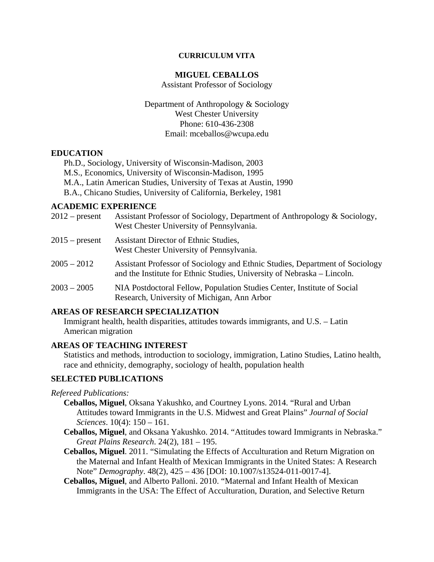#### **CURRICULUM VITA**

#### **MIGUEL CEBALLOS**

Assistant Professor of Sociology

Department of Anthropology & Sociology West Chester University Phone: 610-436-2308 Email: mceballos@wcupa.edu

#### **EDUCATION**

Ph.D., Sociology, University of Wisconsin-Madison, 2003 M.S., Economics, University of Wisconsin-Madison, 1995 M.A., Latin American Studies, University of Texas at Austin, 1990 B.A., Chicano Studies, University of California, Berkeley, 1981

## **ACADEMIC EXPERIENCE**

| $2012$ – present | Assistant Professor of Sociology, Department of Anthropology & Sociology,<br>West Chester University of Pennsylvania.                                   |
|------------------|---------------------------------------------------------------------------------------------------------------------------------------------------------|
| $2015$ – present | Assistant Director of Ethnic Studies,<br>West Chester University of Pennsylvania.                                                                       |
| $2005 - 2012$    | Assistant Professor of Sociology and Ethnic Studies, Department of Sociology<br>and the Institute for Ethnic Studies, University of Nebraska – Lincoln. |
| $2003 - 2005$    | NIA Postdoctoral Fellow, Population Studies Center, Institute of Social<br>Research, University of Michigan, Ann Arbor                                  |

## **AREAS OF RESEARCH SPECIALIZATION**

Immigrant health, health disparities, attitudes towards immigrants, and U.S. – Latin American migration

#### **AREAS OF TEACHING INTEREST**

Statistics and methods, introduction to sociology, immigration, Latino Studies, Latino health, race and ethnicity, demography, sociology of health, population health

## **SELECTED PUBLICATIONS**

*Refereed Publications:* 

- **Ceballos, Miguel**, Oksana Yakushko, and Courtney Lyons. 2014. "Rural and Urban Attitudes toward Immigrants in the U.S. Midwest and Great Plains" *Journal of Social Sciences*. 10(4): 150 – 161.
- **Ceballos, Miguel**, and Oksana Yakushko. 2014. "Attitudes toward Immigrants in Nebraska." *Great Plains Research*. 24(2), 181 – 195.
- **Ceballos, Miguel**. 2011. "Simulating the Effects of Acculturation and Return Migration on the Maternal and Infant Health of Mexican Immigrants in the United States: A Research Note" *Demography*. 48(2), 425 – 436 [DOI: 10.1007/s13524-011-0017-4].
- **Ceballos, Miguel**, and Alberto Palloni. 2010. "Maternal and Infant Health of Mexican Immigrants in the USA: The Effect of Acculturation, Duration, and Selective Return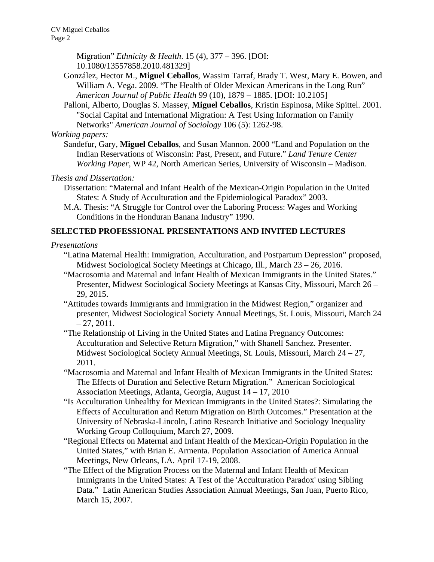CV Miguel Ceballos Page 2

> Migration" *Ethnicity & Health*. 15 (4), 377 – 396. [DOI: 10.1080/13557858.2010.481329]

- González, Hector M., **Miguel Ceballos**, Wassim Tarraf, Brady T. West, Mary E. Bowen, and William A. Vega. 2009. "The Health of Older Mexican Americans in the Long Run" *American Journal of Public Health* 99 (10), 1879 – 1885. [DOI: 10.2105]
- Palloni, Alberto, Douglas S. Massey, **Miguel Ceballos**, Kristin Espinosa, Mike Spittel. 2001. "Social Capital and International Migration: A Test Using Information on Family Networks" *American Journal of Sociology* 106 (5): 1262-98.

*Working papers:* 

 Sandefur, Gary, **Miguel Ceballos**, and Susan Mannon. 2000 "Land and Population on the Indian Reservations of Wisconsin: Past, Present, and Future." *Land Tenure Center Working Paper*, WP 42, North American Series, University of Wisconsin – Madison.

*Thesis and Dissertation:* 

- Dissertation: "Maternal and Infant Health of the Mexican-Origin Population in the United States: A Study of Acculturation and the Epidemiological Paradox" 2003.
- M.A. Thesis: "A Struggle for Control over the Laboring Process: Wages and Working Conditions in the Honduran Banana Industry" 1990.

# **SELECTED PROFESSIONAL PRESENTATIONS AND INVITED LECTURES**

#### *Presentations*

- "Latina Maternal Health: Immigration, Acculturation, and Postpartum Depression" proposed, Midwest Sociological Society Meetings at Chicago, Ill., March 23 – 26, 2016.
- "Macrosomia and Maternal and Infant Health of Mexican Immigrants in the United States." Presenter, Midwest Sociological Society Meetings at Kansas City, Missouri, March 26 – 29, 2015.
- "Attitudes towards Immigrants and Immigration in the Midwest Region," organizer and presenter, Midwest Sociological Society Annual Meetings, St. Louis, Missouri, March 24  $-27, 2011.$
- "The Relationship of Living in the United States and Latina Pregnancy Outcomes: Acculturation and Selective Return Migration," with Shanell Sanchez. Presenter. Midwest Sociological Society Annual Meetings, St. Louis, Missouri, March  $24 - 27$ , 2011.
- "Macrosomia and Maternal and Infant Health of Mexican Immigrants in the United States: The Effects of Duration and Selective Return Migration." American Sociological Association Meetings, Atlanta, Georgia, August 14 – 17, 2010
- "Is Acculturation Unhealthy for Mexican Immigrants in the United States?: Simulating the Effects of Acculturation and Return Migration on Birth Outcomes." Presentation at the University of Nebraska-Lincoln, Latino Research Initiative and Sociology Inequality Working Group Colloquium, March 27, 2009.
- "Regional Effects on Maternal and Infant Health of the Mexican-Origin Population in the United States," with Brian E. Armenta. Population Association of America Annual Meetings, New Orleans, LA. April 17-19, 2008.
- "The Effect of the Migration Process on the Maternal and Infant Health of Mexican Immigrants in the United States: A Test of the 'Acculturation Paradox' using Sibling Data." Latin American Studies Association Annual Meetings, San Juan, Puerto Rico, March 15, 2007.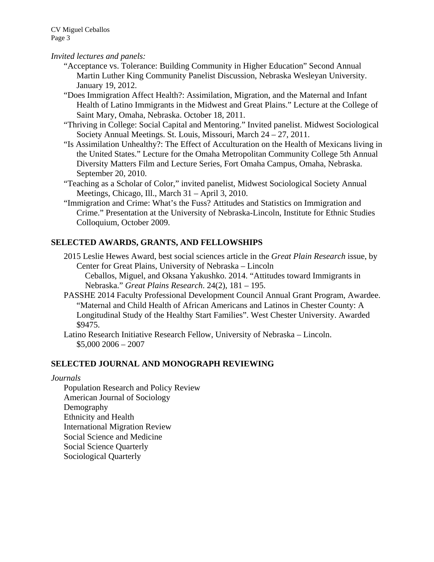## *Invited lectures and panels:*

- "Acceptance vs. Tolerance: Building Community in Higher Education" Second Annual Martin Luther King Community Panelist Discussion, Nebraska Wesleyan University. January 19, 2012.
- "Does Immigration Affect Health?: Assimilation, Migration, and the Maternal and Infant Health of Latino Immigrants in the Midwest and Great Plains." Lecture at the College of Saint Mary, Omaha, Nebraska. October 18, 2011.
- "Thriving in College: Social Capital and Mentoring." Invited panelist. Midwest Sociological Society Annual Meetings. St. Louis, Missouri, March 24 – 27, 2011.
- "Is Assimilation Unhealthy?: The Effect of Acculturation on the Health of Mexicans living in the United States." Lecture for the Omaha Metropolitan Community College 5th Annual Diversity Matters Film and Lecture Series, Fort Omaha Campus, Omaha, Nebraska. September 20, 2010.
- "Teaching as a Scholar of Color," invited panelist, Midwest Sociological Society Annual Meetings, Chicago, Ill., March 31 – April 3, 2010.
- "Immigration and Crime: What's the Fuss? Attitudes and Statistics on Immigration and Crime." Presentation at the University of Nebraska-Lincoln, Institute for Ethnic Studies Colloquium, October 2009.

# **SELECTED AWARDS, GRANTS, AND FELLOWSHIPS**

 2015 Leslie Hewes Award, best social sciences article in the *Great Plain Research* issue, by Center for Great Plains, University of Nebraska – Lincoln

 Ceballos, Miguel, and Oksana Yakushko. 2014. "Attitudes toward Immigrants in Nebraska." *Great Plains Research*. 24(2), 181 – 195.

- PASSHE 2014 Faculty Professional Development Council Annual Grant Program, Awardee. "Maternal and Child Health of African Americans and Latinos in Chester County: A Longitudinal Study of the Healthy Start Families". West Chester University. Awarded \$9475.
- Latino Research Initiative Research Fellow, University of Nebraska Lincoln.  $$5,000\,2006 - 2007$

## **SELECTED JOURNAL AND MONOGRAPH REVIEWING**

#### *Journals*

 Population Research and Policy Review American Journal of Sociology Demography Ethnicity and Health International Migration Review Social Science and Medicine Social Science Quarterly Sociological Quarterly